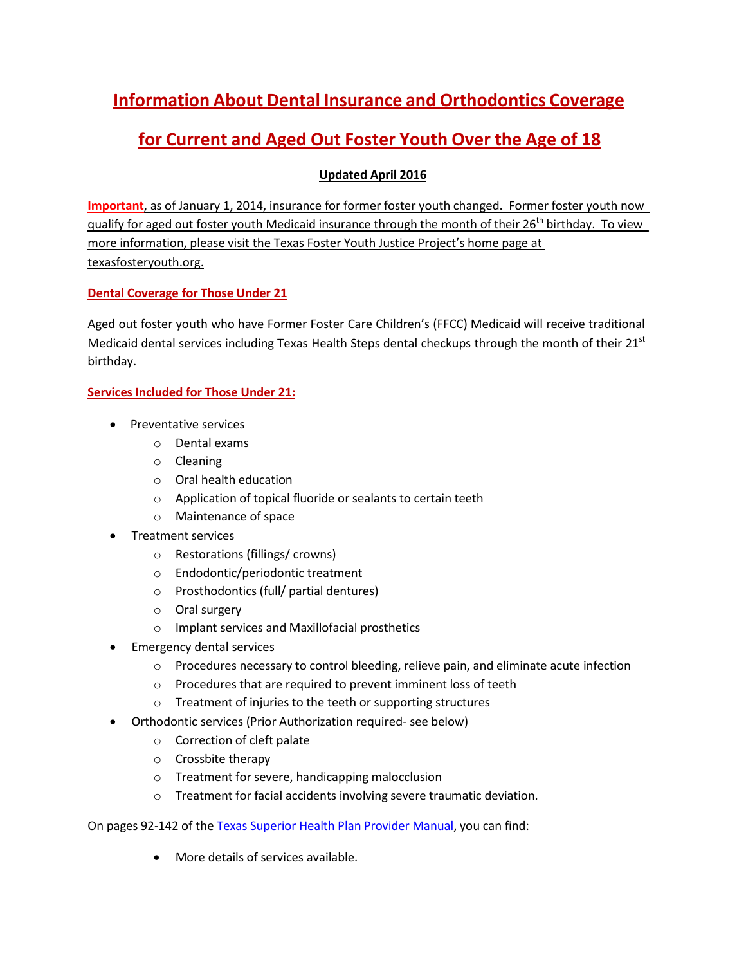# **Information About Dental Insurance and Orthodontics Coverage**

# **for Current and Aged Out Foster Youth Over the Age of 18**

## **Updated April 2016**

**Important**, as of January 1, 2014, insurance for former foster youth changed. Former foster youth now qualify for aged out foster youth Medicaid insurance through the month of their 26<sup>th</sup> birthday. To view more information, please visit the Texas Foster Youth Justice Project's home page at texasfosteryouth.org.

### **Dental Coverage for Those Under 21**

Aged out foster youth who have Former Foster Care Children's (FFCC) Medicaid will receive traditional Medicaid dental services including Texas Health Steps dental checkups through the month of their  $21^{st}$ birthday.

## **Services Included for Those Under 21:**

- Preventative services
	- o Dental exams
	- o Cleaning
	- o Oral health education
	- o Application of topical fluoride or sealants to certain teeth
	- o Maintenance of space
- Treatment services
	- o Restorations (fillings/ crowns)
	- o Endodontic/periodontic treatment
	- o Prosthodontics (full/ partial dentures)
	- o Oral surgery
	- o Implant services and Maxillofacial prosthetics
- Emergency dental services
	- $\circ$  Procedures necessary to control bleeding, relieve pain, and eliminate acute infection
	- o Procedures that are required to prevent imminent loss of teeth
	- o Treatment of injuries to the teeth or supporting structures
- Orthodontic services (Prior Authorization required- see below)
	- o Correction of cleft palate
	- o Crossbite therapy
	- o Treatment forsevere, handicapping malocclusion
	- o Treatment for facial accidents involving severe traumatic deviation.

On pages 92-142 of the [Texas Superior](http://www.dentaquest.com/getattachment/State-Plans/Regions/texas/Dentists-Page/TX-Superior-Medicare-Me-740_February-26-2015.pdf) Health Plan Provider Manual, you can find:

More details of services available.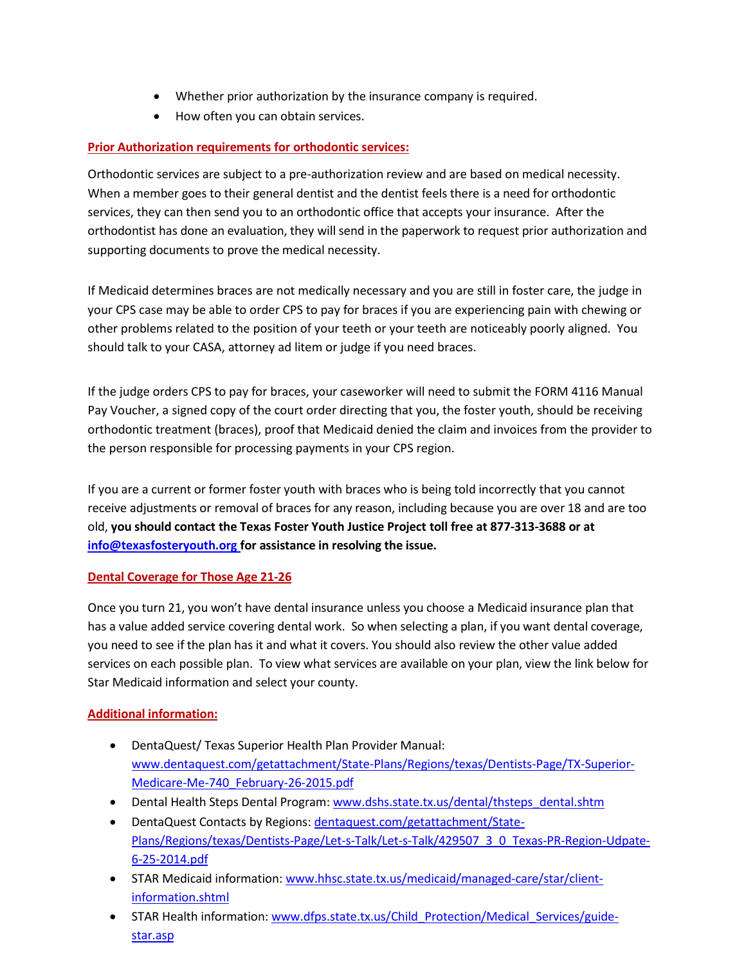- Whether prior authorization by the insurance company is required.
- How often you can obtain services.

### **Prior Authorization requirements for orthodontic services:**

Orthodontic services are subject to a pre-authorization review and are based on medical necessity. When a member goes to their general dentist and the dentist feels there is a need for orthodontic services, they can then send you to an orthodontic office that accepts your insurance. After the orthodontist has done an evaluation, they will send in the paperwork to request prior authorization and supporting documents to prove the medical necessity.

If Medicaid determines braces are not medically necessary and you are still in foster care, the judge in your CPS case may be able to order CPS to pay for braces if you are experiencing pain with chewing or other problems related to the position of your teeth or your teeth are noticeably poorly aligned. You should talk to your CASA, attorney ad litem or judge if you need braces.

If the judge orders CPS to pay for braces, your caseworker will need to submit the FORM 4116 Manual Pay Voucher, a signed copy of the court order directing that you, the foster youth, should be receiving orthodontic treatment (braces), proof that Medicaid denied the claim and invoices from the provider to the person responsible for processing payments in your CPS region.

If you are a current or former foster youth with braces who is being told incorrectly that you cannot receive adjustments or removal of braces for any reason, including because you are over 18 and are too old, **you should contact the Texas Foster Youth Justice Project toll free at 877-313-3688 or at [info@texasfosteryouth.org](mailto:info@texasfosteryouth.org) for assistance in resolving the issue.**

#### **Dental Coverage for Those Age 21-26**

Once you turn 21, you won't have dental insurance unless you choose a Medicaid insurance plan that has a value added service covering dental work. So when selecting a plan, if you want dental coverage, you need to see if the plan has it and what it covers. You should also review the other value added services on each possible plan. To view what services are available on your plan, view the link below for Star Medicaid information and select your county.

#### **Additional information:**

- DentaQuest/ Texas Superior Health Plan Provider Manual: [www.dentaquest.com/getattachment/State-Plans/Regions/texas/Dentists-Page/TX-Superior-](http://www.dentaquest.com/getattachment/State-Plans/Regions/texas/Dentists-Page/TX-Superior-Medicare-Me-740_February-26-2015.pdf)[Medicare-Me-740\\_February-26-2015.pdf](http://www.dentaquest.com/getattachment/State-Plans/Regions/texas/Dentists-Page/TX-Superior-Medicare-Me-740_February-26-2015.pdf)
- Dental Health Steps Dental Program: [www.dshs.state.tx.us/dental/thsteps\\_dental.shtm](http://www.dshs.state.tx.us/dental/thsteps_dental.shtm)
- DentaQuest Contacts by Regions: [dentaquest.com/getattachment/State-](file://///aus-dc03/users/KPfeiffer/TFYJP/website/dentaquest.com/getattachment/State-Plans/Regions/texas/Dentists-Page/Let-s-Talk/Let-s-Talk/429507_3_0_Texas-PR-Region-Udpate-6-25-2014.pdf)[Plans/Regions/texas/Dentists-Page/Let-s-Talk/Let-s-Talk/429507\\_3\\_0\\_Texas-PR-Region-Udpate-](file://///aus-dc03/users/KPfeiffer/TFYJP/website/dentaquest.com/getattachment/State-Plans/Regions/texas/Dentists-Page/Let-s-Talk/Let-s-Talk/429507_3_0_Texas-PR-Region-Udpate-6-25-2014.pdf)[6-25-2014.pdf](file://///aus-dc03/users/KPfeiffer/TFYJP/website/dentaquest.com/getattachment/State-Plans/Regions/texas/Dentists-Page/Let-s-Talk/Let-s-Talk/429507_3_0_Texas-PR-Region-Udpate-6-25-2014.pdf)
- STAR Medicaid information: [www.hhsc.state.tx.us/medicaid/managed-care/star/client](http://www.hhsc.state.tx.us/medicaid/managed-care/star/client-information.shtml)[information.shtml](http://www.hhsc.state.tx.us/medicaid/managed-care/star/client-information.shtml)
- STAR Health information: [www.dfps.state.tx.us/Child\\_Protection/Medical\\_Services/guide](http://www.dfps.state.tx.us/Child_Protection/Medical_Services/guide-star.asp)[star.asp](http://www.dfps.state.tx.us/Child_Protection/Medical_Services/guide-star.asp)